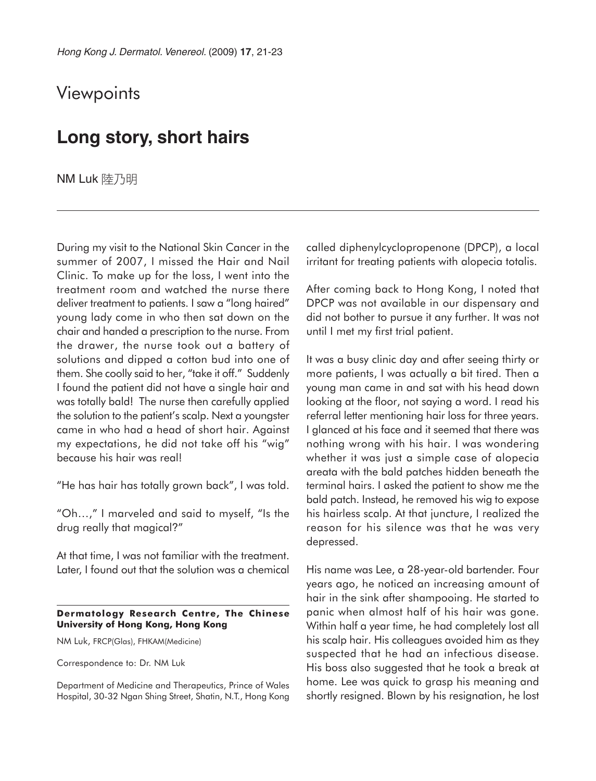## **Viewpoints**

## **Long story, short hairs**

NM Luk 陸乃明

During my visit to the National Skin Cancer in the summer of 2007, I missed the Hair and Nail Clinic. To make up for the loss, I went into the treatment room and watched the nurse there deliver treatment to patients. I saw a "long haired" young lady come in who then sat down on the chair and handed a prescription to the nurse. From the drawer, the nurse took out a battery of solutions and dipped a cotton bud into one of them. She coolly said to her, "take it off." Suddenly I found the patient did not have a single hair and was totally bald! The nurse then carefully applied the solution to the patient's scalp. Next a youngster came in who had a head of short hair. Against my expectations, he did not take off his "wig" because his hair was real!

"He has hair has totally grown back", I was told.

"Oh…," I marveled and said to myself, "Is the drug really that magical?"

At that time, I was not familiar with the treatment. Later, I found out that the solution was a chemical

## **Dermatology Research Centre, The Chinese University of Hong Kong, Hong Kong**

NM Luk, FRCP(Glas), FHKAM(Medicine)

Correspondence to: Dr. NM Luk

Department of Medicine and Therapeutics, Prince of Wales Hospital, 30-32 Ngan Shing Street, Shatin, N.T., Hong Kong called diphenylcyclopropenone (DPCP), a local irritant for treating patients with alopecia totalis.

After coming back to Hong Kong, I noted that DPCP was not available in our dispensary and did not bother to pursue it any further. It was not until I met my first trial patient.

It was a busy clinic day and after seeing thirty or more patients, I was actually a bit tired. Then a young man came in and sat with his head down looking at the floor, not saying a word. I read his referral letter mentioning hair loss for three years. I glanced at his face and it seemed that there was nothing wrong with his hair. I was wondering whether it was just a simple case of alopecia areata with the bald patches hidden beneath the terminal hairs. I asked the patient to show me the bald patch. Instead, he removed his wig to expose his hairless scalp. At that juncture, I realized the reason for his silence was that he was very depressed.

His name was Lee, a 28-year-old bartender. Four years ago, he noticed an increasing amount of hair in the sink after shampooing. He started to panic when almost half of his hair was gone. Within half a year time, he had completely lost all his scalp hair. His colleagues avoided him as they suspected that he had an infectious disease. His boss also suggested that he took a break at home. Lee was quick to grasp his meaning and shortly resigned. Blown by his resignation, he lost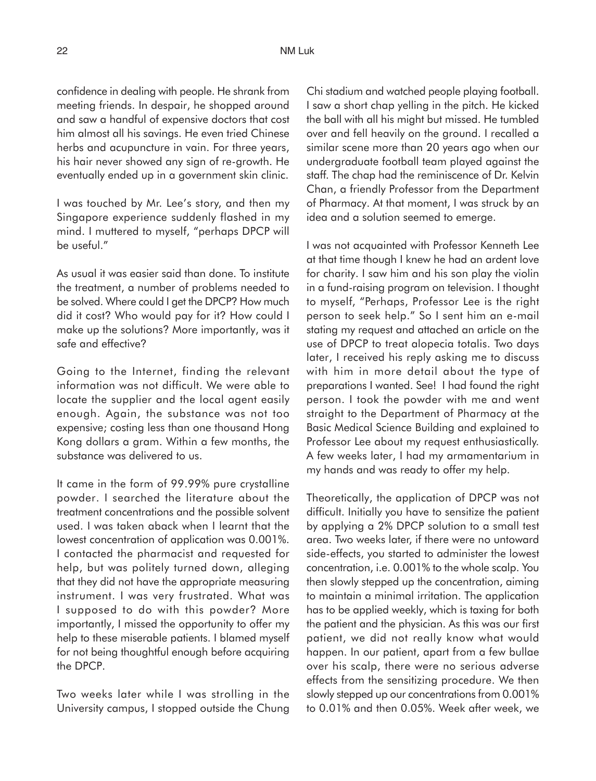confidence in dealing with people. He shrank from meeting friends. In despair, he shopped around and saw a handful of expensive doctors that cost him almost all his savings. He even tried Chinese herbs and acupuncture in vain. For three years, his hair never showed any sign of re-growth. He eventually ended up in a government skin clinic.

I was touched by Mr. Lee's story, and then my Singapore experience suddenly flashed in my mind. I muttered to myself, "perhaps DPCP will be useful."

As usual it was easier said than done. To institute the treatment, a number of problems needed to be solved. Where could I get the DPCP? How much did it cost? Who would pay for it? How could I make up the solutions? More importantly, was it safe and effective?

Going to the Internet, finding the relevant information was not difficult. We were able to locate the supplier and the local agent easily enough. Again, the substance was not too expensive; costing less than one thousand Hong Kong dollars a gram. Within a few months, the substance was delivered to us.

It came in the form of 99.99% pure crystalline powder. I searched the literature about the treatment concentrations and the possible solvent used. I was taken aback when I learnt that the lowest concentration of application was 0.001%. I contacted the pharmacist and requested for help, but was politely turned down, alleging that they did not have the appropriate measuring instrument. I was very frustrated. What was I supposed to do with this powder? More importantly, I missed the opportunity to offer my help to these miserable patients. I blamed myself for not being thoughtful enough before acquiring the DPCP.

Two weeks later while I was strolling in the University campus, I stopped outside the Chung Chi stadium and watched people playing football. I saw a short chap yelling in the pitch. He kicked the ball with all his might but missed. He tumbled over and fell heavily on the ground. I recalled a similar scene more than 20 years ago when our undergraduate football team played against the staff. The chap had the reminiscence of Dr. Kelvin Chan, a friendly Professor from the Department of Pharmacy. At that moment, I was struck by an idea and a solution seemed to emerge.

I was not acquainted with Professor Kenneth Lee at that time though I knew he had an ardent love for charity. I saw him and his son play the violin in a fund-raising program on television. I thought to myself, "Perhaps, Professor Lee is the right person to seek help." So I sent him an e-mail stating my request and attached an article on the use of DPCP to treat alopecia totalis. Two days later, I received his reply asking me to discuss with him in more detail about the type of preparations I wanted. See! I had found the right person. I took the powder with me and went straight to the Department of Pharmacy at the Basic Medical Science Building and explained to Professor Lee about my request enthusiastically. A few weeks later, I had my armamentarium in my hands and was ready to offer my help.

Theoretically, the application of DPCP was not difficult. Initially you have to sensitize the patient by applying a 2% DPCP solution to a small test area. Two weeks later, if there were no untoward side-effects, you started to administer the lowest concentration, i.e. 0.001% to the whole scalp. You then slowly stepped up the concentration, aiming to maintain a minimal irritation. The application has to be applied weekly, which is taxing for both the patient and the physician. As this was our first patient, we did not really know what would happen. In our patient, apart from a few bullae over his scalp, there were no serious adverse effects from the sensitizing procedure. We then slowly stepped up our concentrations from 0.001% to 0.01% and then 0.05%. Week after week, we